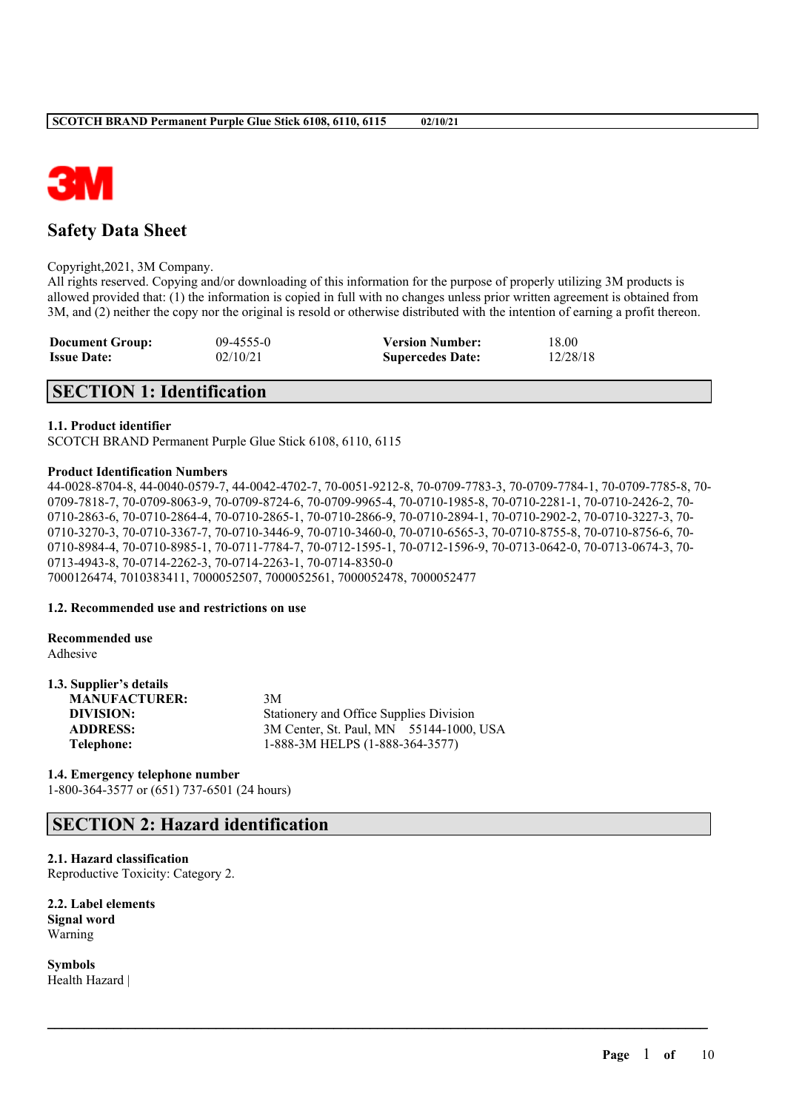

# **Safety Data Sheet**

Copyright,2021, 3M Company.

All rights reserved. Copying and/or downloading of this information for the purpose of properly utilizing 3M products is allowed provided that: (1) the information is copied in full with no changes unless prior written agreement is obtained from 3M, and (2) neither the copy nor the original is resold or otherwise distributed with the intention of earning a profit thereon.

| <b>Document Group:</b> | $09-4555-0$ | <b>Version Number:</b>  | 18.00    |
|------------------------|-------------|-------------------------|----------|
| <b>Issue Date:</b>     | 02/10/21    | <b>Supercedes Date:</b> | 12/28/18 |

# **SECTION 1: Identification**

# **1.1. Product identifier**

SCOTCH BRAND Permanent Purple Glue Stick 6108, 6110, 6115

### **Product Identification Numbers**

44-0028-8704-8, 44-0040-0579-7, 44-0042-4702-7, 70-0051-9212-8, 70-0709-7783-3, 70-0709-7784-1, 70-0709-7785-8, 70- 0709-7818-7, 70-0709-8063-9, 70-0709-8724-6, 70-0709-9965-4, 70-0710-1985-8, 70-0710-2281-1, 70-0710-2426-2, 70- 0710-2863-6, 70-0710-2864-4, 70-0710-2865-1, 70-0710-2866-9, 70-0710-2894-1, 70-0710-2902-2, 70-0710-3227-3, 70- 0710-3270-3, 70-0710-3367-7, 70-0710-3446-9, 70-0710-3460-0, 70-0710-6565-3, 70-0710-8755-8, 70-0710-8756-6, 70<br>0710-3270-3, 70-0710-3367-7, 70-0710-3446-9, 70-0710-3460-0, 70-0710-6565-3, 70-0710-8755-8, 70-0710-8756-6, 7 0710-8984-4, 70-0710-8985-1, 70-0711-7784-7, 70-0712-1595-1, 70-0712-1596-9, 70-0713-0642-0, 70-0713-0674-3, 70- 0713-4943-8, 70-0714-2262-3, 70-0714-2263-1, 70-0714-8350-0 7000126474, 7010383411, 7000052507, 7000052561, 7000052478, 7000052477

 $\mathcal{L}_\mathcal{L} = \mathcal{L}_\mathcal{L} = \mathcal{L}_\mathcal{L} = \mathcal{L}_\mathcal{L} = \mathcal{L}_\mathcal{L} = \mathcal{L}_\mathcal{L} = \mathcal{L}_\mathcal{L} = \mathcal{L}_\mathcal{L} = \mathcal{L}_\mathcal{L} = \mathcal{L}_\mathcal{L} = \mathcal{L}_\mathcal{L} = \mathcal{L}_\mathcal{L} = \mathcal{L}_\mathcal{L} = \mathcal{L}_\mathcal{L} = \mathcal{L}_\mathcal{L} = \mathcal{L}_\mathcal{L} = \mathcal{L}_\mathcal{L}$ 

#### **1.2. Recommended use and restrictions on use**

**Recommended use** Adhesive

# **1.3. Supplier's details**

| <b>MANUFACTURER:</b> | 3M                                      |
|----------------------|-----------------------------------------|
| DIVISION:            | Stationery and Office Supplies Division |
| <b>ADDRESS:</b>      | 3M Center, St. Paul, MN 55144-1000, USA |
| Telephone:           | 1-888-3M HELPS (1-888-364-3577)         |

# **1.4. Emergency telephone number**

1-800-364-3577 or (651) 737-6501 (24 hours)

# **SECTION 2: Hazard identification**

# **2.1. Hazard classification**

Reproductive Toxicity: Category 2.

**2.2. Label elements Signal word** Warning

**Symbols** Health Hazard |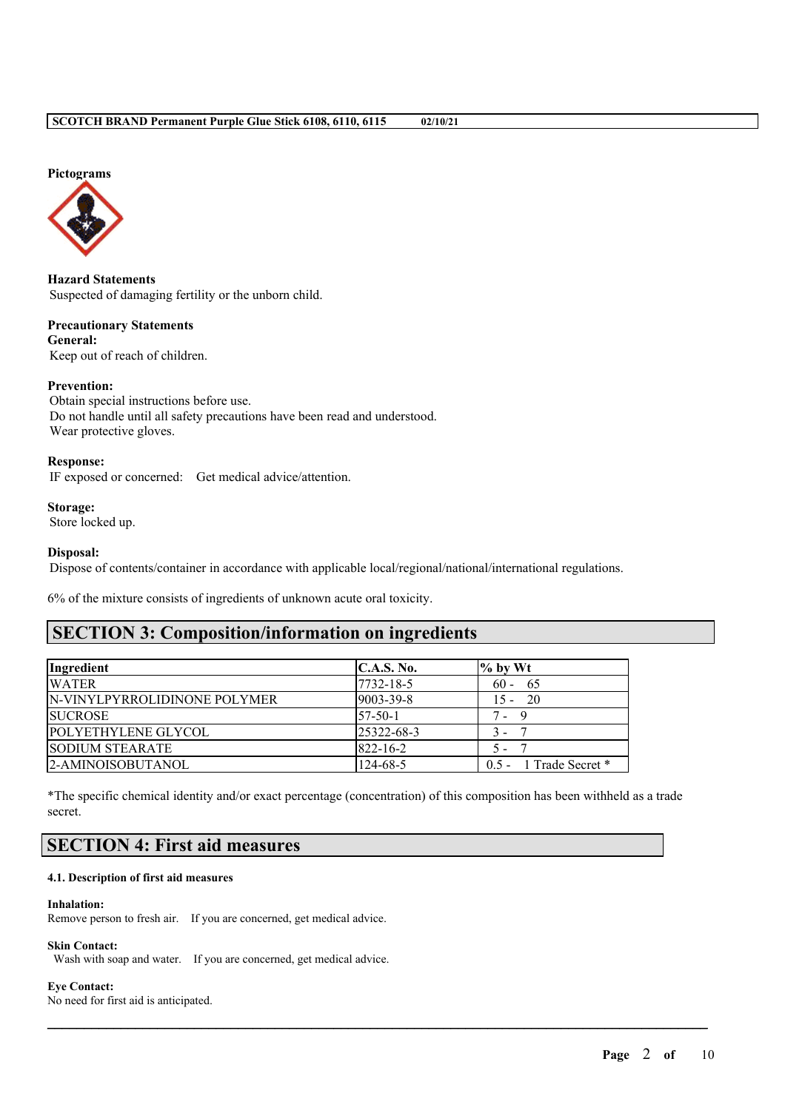#### **Pictograms**



**Hazard Statements** Suspected of damaging fertility or the unborn child.

**Precautionary Statements General:** Keep out of reach of children.

#### **Prevention:**

Obtain special instructions before use. Do not handle until all safety precautions have been read and understood. Wear protective gloves.

#### **Response:**

IF exposed or concerned: Get medical advice/attention.

# **Storage:**

Store locked up.

#### **Disposal:**

Dispose of contents/container in accordance with applicable local/regional/national/international regulations.

6% of the mixture consists of ingredients of unknown acute oral toxicity.

# **SECTION 3: Composition/information on ingredients**

| Ingredient                          | <b>C.A.S. No.</b> | $\%$ by Wt                 |
|-------------------------------------|-------------------|----------------------------|
| <b>WATER</b>                        | 7732-18-5         | $60 - 65$                  |
| <b>N-VINYLPYRROLIDINONE POLYMER</b> | 9003-39-8         | $15 - 20$                  |
| <b>SUCROSE</b>                      | $57-50-1$         | $7 - 9$                    |
| POLYETHYLENE GLYCOL                 | 25322-68-3        | $3 -$                      |
| <b>SODIUM STEARATE</b>              | $822 - 16 - 2$    | 5.                         |
| 2-AMINOISOBUTANOL                   | $124 - 68 - 5$    | $0.5 - 1$ Trade Secret $*$ |

\*The specific chemical identity and/or exact percentage (concentration) of this composition has been withheld as a trade secret.

 $\mathcal{L}_\mathcal{L} = \mathcal{L}_\mathcal{L} = \mathcal{L}_\mathcal{L} = \mathcal{L}_\mathcal{L} = \mathcal{L}_\mathcal{L} = \mathcal{L}_\mathcal{L} = \mathcal{L}_\mathcal{L} = \mathcal{L}_\mathcal{L} = \mathcal{L}_\mathcal{L} = \mathcal{L}_\mathcal{L} = \mathcal{L}_\mathcal{L} = \mathcal{L}_\mathcal{L} = \mathcal{L}_\mathcal{L} = \mathcal{L}_\mathcal{L} = \mathcal{L}_\mathcal{L} = \mathcal{L}_\mathcal{L} = \mathcal{L}_\mathcal{L}$ 

# **SECTION 4: First aid measures**

#### **4.1. Description of first aid measures**

#### **Inhalation:**

Remove person to fresh air. If you are concerned, get medical advice.

#### **Skin Contact:**

Wash with soap and water. If you are concerned, get medical advice.

#### **Eye Contact:**

No need for first aid is anticipated.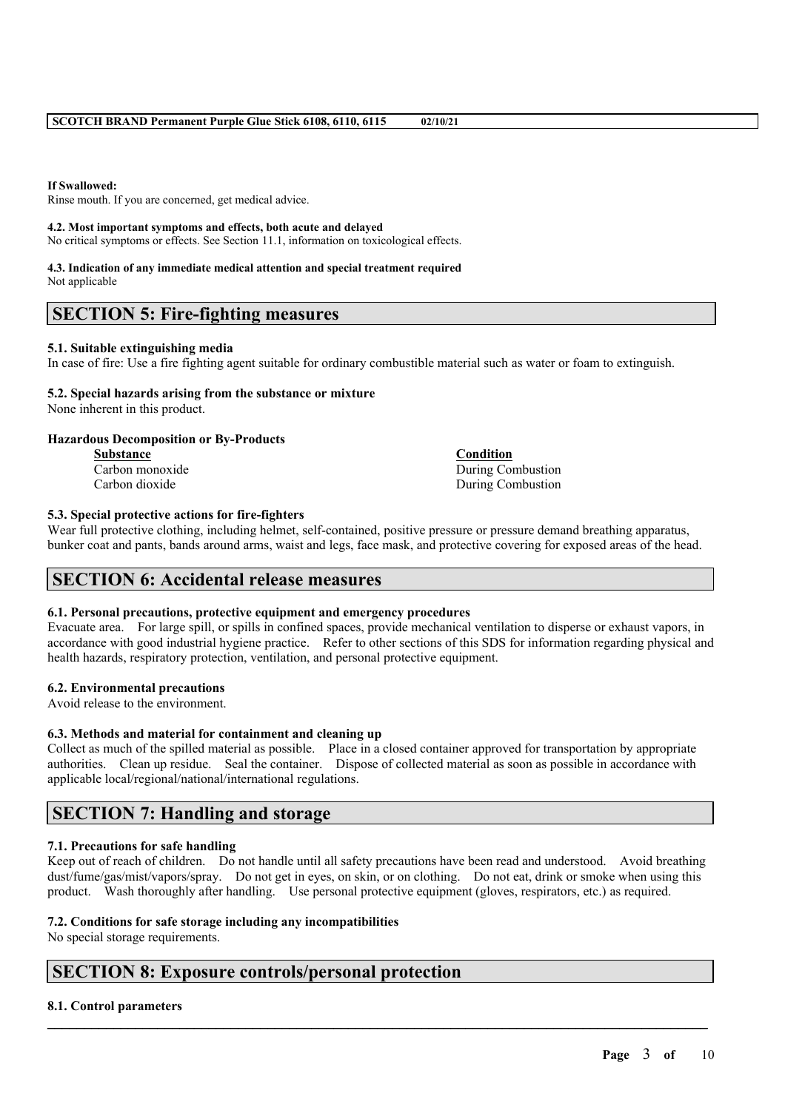### **If Swallowed:**

Rinse mouth. If you are concerned, get medical advice.

#### **4.2. Most important symptoms and effects, both acute and delayed**

No critical symptoms or effects. See Section 11.1, information on toxicological effects.

#### **4.3. Indication of any immediate medical attention and special treatment required** Not applicable

# **SECTION 5: Fire-fighting measures**

# **5.1. Suitable extinguishing media**

In case of fire: Use a fire fighting agent suitable for ordinary combustible material such as water or foam to extinguish.

# **5.2. Special hazards arising from the substance or mixture**

None inherent in this product.

# **Hazardous Decomposition or By-Products**

**Substance Condition** Carbon monoxide During Combustion

Carbon dioxide During Combustion

# **5.3. Special protective actions for fire-fighters**

Wear full protective clothing, including helmet, self-contained, positive pressure or pressure demand breathing apparatus, bunker coat and pants, bands around arms, waist and legs, face mask, and protective covering for exposed areas of the head.

# **SECTION 6: Accidental release measures**

# **6.1. Personal precautions, protective equipment and emergency procedures**

Evacuate area. For large spill, or spills in confined spaces, provide mechanical ventilation to disperse or exhaust vapors, in accordance with good industrial hygiene practice. Refer to other sections of this SDS for information regarding physical and health hazards, respiratory protection, ventilation, and personal protective equipment.

# **6.2. Environmental precautions**

Avoid release to the environment.

# **6.3. Methods and material for containment and cleaning up**

Collect as much of the spilled material as possible. Place in a closed container approved for transportation by appropriate authorities. Clean up residue. Seal the container. Dispose of collected material as soon as possible in accordance with applicable local/regional/national/international regulations.

# **SECTION 7: Handling and storage**

# **7.1. Precautions for safe handling**

Keep out of reach of children. Do not handle until all safety precautions have been read and understood. Avoid breathing dust/fume/gas/mist/vapors/spray. Do not get in eyes, on skin, or on clothing. Do not eat, drink or smoke when using this product. Wash thoroughly after handling. Use personal protective equipment (gloves, respirators, etc.) as required.

 $\mathcal{L}_\mathcal{L} = \mathcal{L}_\mathcal{L} = \mathcal{L}_\mathcal{L} = \mathcal{L}_\mathcal{L} = \mathcal{L}_\mathcal{L} = \mathcal{L}_\mathcal{L} = \mathcal{L}_\mathcal{L} = \mathcal{L}_\mathcal{L} = \mathcal{L}_\mathcal{L} = \mathcal{L}_\mathcal{L} = \mathcal{L}_\mathcal{L} = \mathcal{L}_\mathcal{L} = \mathcal{L}_\mathcal{L} = \mathcal{L}_\mathcal{L} = \mathcal{L}_\mathcal{L} = \mathcal{L}_\mathcal{L} = \mathcal{L}_\mathcal{L}$ 

# **7.2. Conditions for safe storage including any incompatibilities**

No special storage requirements.

# **SECTION 8: Exposure controls/personal protection**

# **8.1. Control parameters**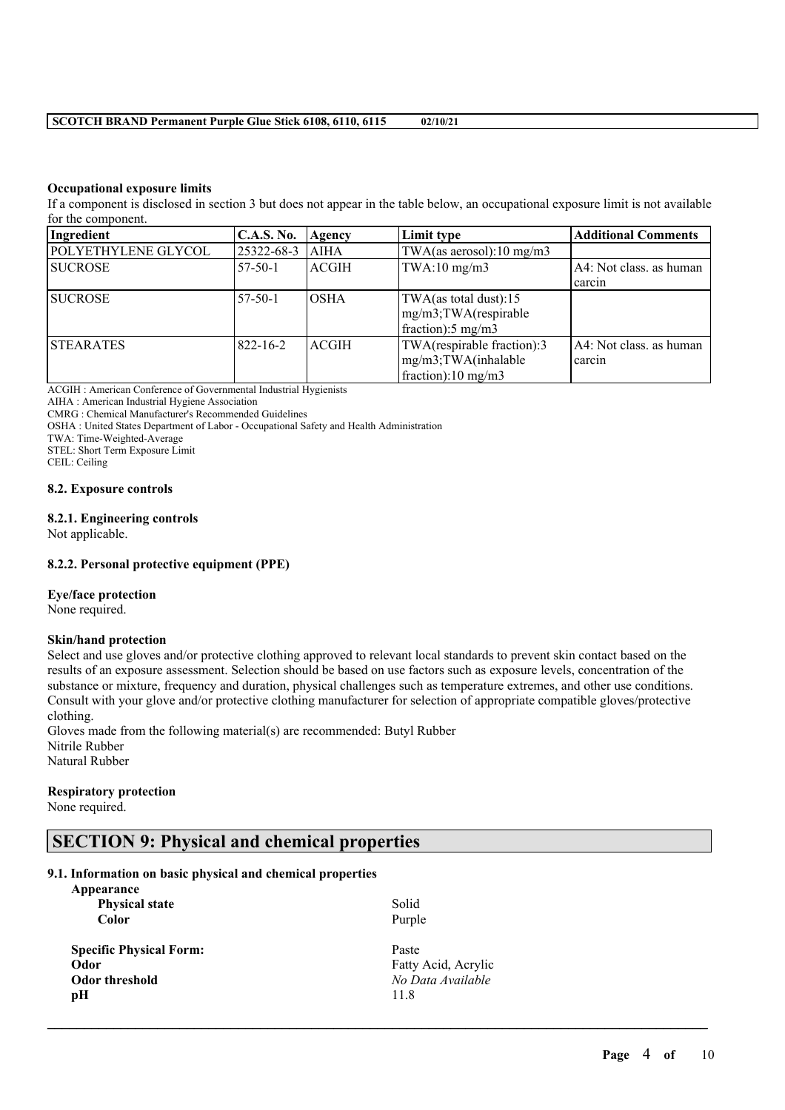# **Occupational exposure limits**

If a component is disclosed in section 3 but does not appear in the table below, an occupational exposure limit is not available for the component.

| Ingredient          | <b>C.A.S. No.</b> | Agency       | Limit type                 | <b>Additional Comments</b> |
|---------------------|-------------------|--------------|----------------------------|----------------------------|
| POLYETHYLENE GLYCOL | 25322-68-3        | <b>AIHA</b>  | TWA(as aerosol):10 mg/m3   |                            |
| <b>SUCROSE</b>      | -57-50-1          | ACGIH        | TWA:10 mg/m3               | A4: Not class. as human    |
|                     |                   |              |                            | carcin                     |
| <b>SUCROSE</b>      | $57-50-1$         | IOSHA        | TWA(as total dust):15      |                            |
|                     |                   |              | mg/m3;TWA(respirable       |                            |
|                     |                   |              | fraction: 5 mg/m3          |                            |
| <b>STEARATES</b>    | $822 - 16 - 2$    | <b>ACGIH</b> | TWA(respirable fraction):3 | A4: Not class. as human    |
|                     |                   |              | mg/m3;TWA(inhalable        | carcin                     |
|                     |                   |              | fraction):10 mg/m3         |                            |

ACGIH : American Conference of Governmental Industrial Hygienists

AIHA : American Industrial Hygiene Association

CMRG : Chemical Manufacturer's Recommended Guidelines

OSHA : United States Department of Labor - Occupational Safety and Health Administration

TWA: Time-Weighted-Average

STEL: Short Term Exposure Limit

CEIL: Ceiling

#### **8.2. Exposure controls**

#### **8.2.1. Engineering controls**

Not applicable.

# **8.2.2. Personal protective equipment (PPE)**

#### **Eye/face protection**

None required.

#### **Skin/hand protection**

Select and use gloves and/or protective clothing approved to relevant local standards to prevent skin contact based on the results of an exposure assessment. Selection should be based on use factors such as exposure levels, concentration of the substance or mixture, frequency and duration, physical challenges such as temperature extremes, and other use conditions. Consult with your glove and/or protective clothing manufacturer for selection of appropriate compatible gloves/protective clothing.

 $\mathcal{L}_\mathcal{L} = \mathcal{L}_\mathcal{L} = \mathcal{L}_\mathcal{L} = \mathcal{L}_\mathcal{L} = \mathcal{L}_\mathcal{L} = \mathcal{L}_\mathcal{L} = \mathcal{L}_\mathcal{L} = \mathcal{L}_\mathcal{L} = \mathcal{L}_\mathcal{L} = \mathcal{L}_\mathcal{L} = \mathcal{L}_\mathcal{L} = \mathcal{L}_\mathcal{L} = \mathcal{L}_\mathcal{L} = \mathcal{L}_\mathcal{L} = \mathcal{L}_\mathcal{L} = \mathcal{L}_\mathcal{L} = \mathcal{L}_\mathcal{L}$ 

Gloves made from the following material(s) are recommended: Butyl Rubber Nitrile Rubber Natural Rubber

# **Respiratory protection**

None required.

# **SECTION 9: Physical and chemical properties**

# **9.1. Information on basic physical and chemical properties**

| Solid               |
|---------------------|
| Purple              |
| Paste               |
| Fatty Acid, Acrylic |
| No Data Available   |
| 11.8                |
|                     |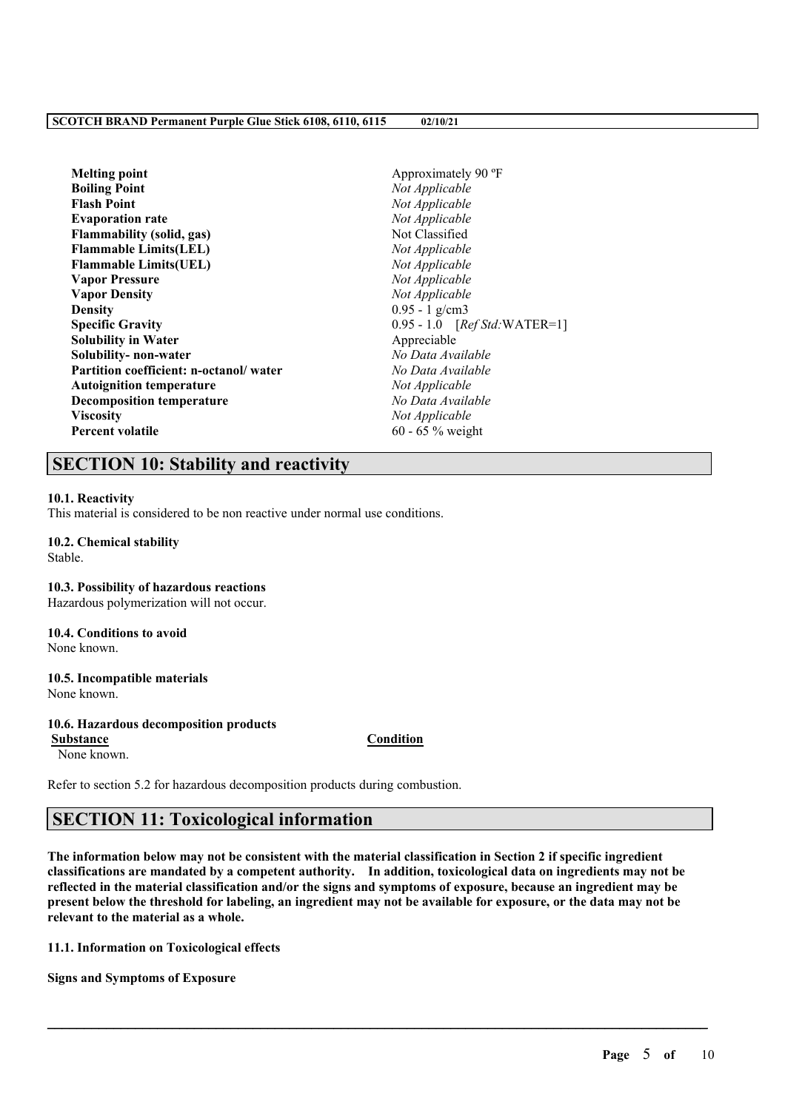| <b>Melting point</b>                   | Approximately 90 °F            |
|----------------------------------------|--------------------------------|
| <b>Boiling Point</b>                   | Not Applicable                 |
| <b>Flash Point</b>                     | Not Applicable                 |
| <b>Evaporation rate</b>                | Not Applicable                 |
| <b>Flammability (solid, gas)</b>       | Not Classified                 |
| <b>Flammable Limits(LEL)</b>           | Not Applicable                 |
| <b>Flammable Limits(UEL)</b>           | Not Applicable                 |
| <b>Vapor Pressure</b>                  | Not Applicable                 |
| <b>Vapor Density</b>                   | Not Applicable                 |
| <b>Density</b>                         | $0.95 - 1$ g/cm3               |
| <b>Specific Gravity</b>                | $0.95 - 1.0$ [Ref Std:WATER=1] |
| <b>Solubility in Water</b>             | Appreciable                    |
| Solubility- non-water                  | No Data Available              |
| Partition coefficient: n-octanol/water | No Data Available              |
| <b>Autoignition temperature</b>        | Not Applicable                 |
| <b>Decomposition temperature</b>       | No Data Available              |
| <b>Viscosity</b>                       | Not Applicable                 |
| <b>Percent volatile</b>                | 60 - 65 $%$ weight             |
|                                        |                                |

# **SECTION 10: Stability and reactivity**

#### **10.1. Reactivity**

This material is considered to be non reactive under normal use conditions.

#### **10.2. Chemical stability** Stable.

**10.3. Possibility of hazardous reactions**

Hazardous polymerization will not occur.

#### **10.4. Conditions to avoid** None known.

# **10.5. Incompatible materials** None known.

#### **10.6. Hazardous decomposition products**

None known.

# **Substance Condition**

Refer to section 5.2 for hazardous decomposition products during combustion.

# **SECTION 11: Toxicological information**

The information below may not be consistent with the material classification in Section 2 if specific ingredient **classifications are mandated by a competent authority. In addition, toxicological data on ingredients may not be** reflected in the material classification and/or the signs and symptoms of exposure, because an ingredient may be present below the threshold for labeling, an ingredient may not be available for exposure, or the data may not be **relevant to the material as a whole.**

 $\mathcal{L}_\mathcal{L} = \mathcal{L}_\mathcal{L} = \mathcal{L}_\mathcal{L} = \mathcal{L}_\mathcal{L} = \mathcal{L}_\mathcal{L} = \mathcal{L}_\mathcal{L} = \mathcal{L}_\mathcal{L} = \mathcal{L}_\mathcal{L} = \mathcal{L}_\mathcal{L} = \mathcal{L}_\mathcal{L} = \mathcal{L}_\mathcal{L} = \mathcal{L}_\mathcal{L} = \mathcal{L}_\mathcal{L} = \mathcal{L}_\mathcal{L} = \mathcal{L}_\mathcal{L} = \mathcal{L}_\mathcal{L} = \mathcal{L}_\mathcal{L}$ 

**11.1. Information on Toxicological effects**

**Signs and Symptoms of Exposure**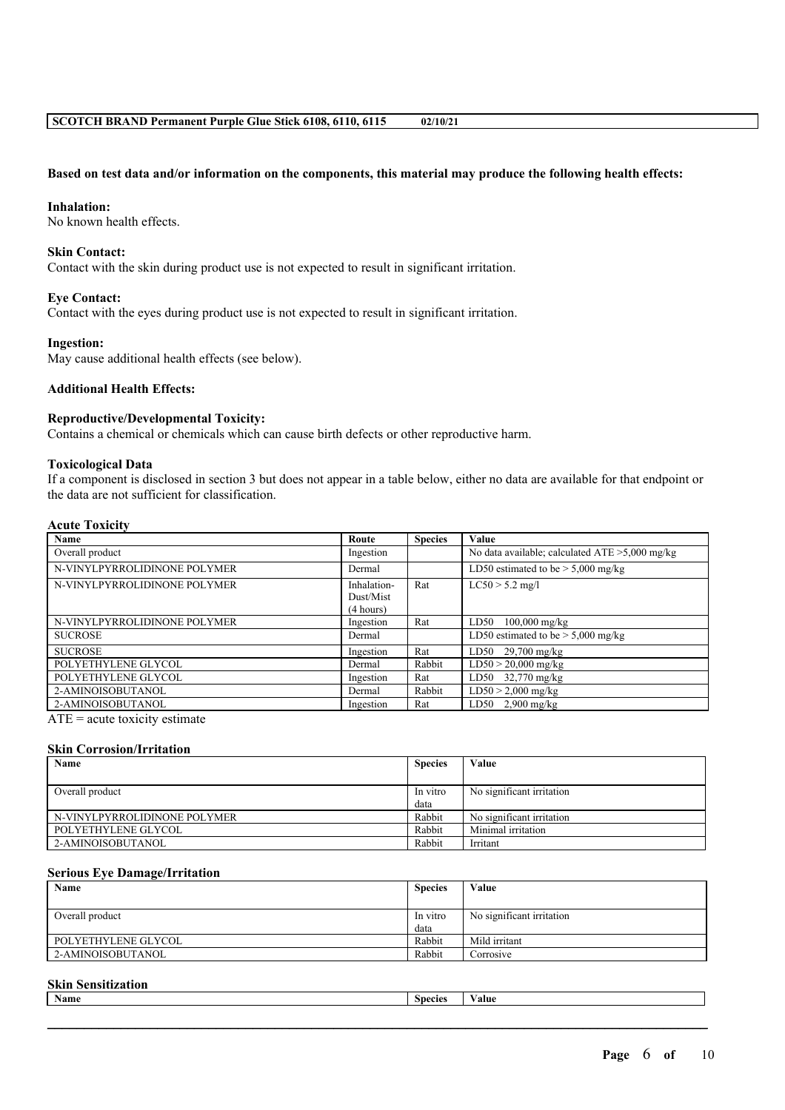### Based on test data and/or information on the components, this material may produce the following health effects:

#### **Inhalation:**

No known health effects.

#### **Skin Contact:**

Contact with the skin during product use is not expected to result in significant irritation.

### **Eye Contact:**

Contact with the eyes during product use is not expected to result in significant irritation.

### **Ingestion:**

May cause additional health effects (see below).

# **Additional Health Effects:**

# **Reproductive/Developmental Toxicity:**

Contains a chemical or chemicals which can cause birth defects or other reproductive harm.

### **Toxicological Data**

If a component is disclosed in section 3 but does not appear in a table below, either no data are available for that endpoint or the data are not sufficient for classification.

# **Acute Toxicity**

| Name                                | Route                                 | <b>Species</b> | Value                                             |
|-------------------------------------|---------------------------------------|----------------|---------------------------------------------------|
| Overall product                     | Ingestion                             |                | No data available; calculated $ATE > 5,000$ mg/kg |
| N-VINYLPYRROLIDINONE POLYMER        | Dermal                                |                | LD50 estimated to be $> 5,000$ mg/kg              |
| N-VINYLPYRROLIDINONE POLYMER        | Inhalation-<br>Dust/Mist<br>(4 hours) | Rat            | $LC50 > 5.2$ mg/l                                 |
| N-VINYLPYRROLIDINONE POLYMER        | Ingestion                             | Rat            | LD50<br>$100,000 \text{ mg/kg}$                   |
| <b>SUCROSE</b>                      | Dermal                                |                | LD50 estimated to be $> 5,000$ mg/kg              |
| <b>SUCROSE</b>                      | Ingestion                             | Rat            | $LD50$ 29,700 mg/kg                               |
| POLYETHYLENE GLYCOL                 | Dermal                                | Rabbit         | $LD50 > 20,000$ mg/kg                             |
| POLYETHYLENE GLYCOL                 | Ingestion                             | Rat            | $LD50$ 32,770 mg/kg                               |
| 2-AMINOISOBUTANOL                   | Dermal                                | Rabbit         | $LD50 > 2,000$ mg/kg                              |
| 2-AMINOISOBUTANOL<br>$\blacksquare$ | Ingestion                             | Rat            | LD50 $2,900$ mg/kg                                |

ATE = acute toxicity estimate

### **Skin Corrosion/Irritation**

| Name                         | <b>Species</b> | Value                     |
|------------------------------|----------------|---------------------------|
|                              |                |                           |
| Overall product              | In vitro       | No significant irritation |
|                              | data           |                           |
| N-VINYLPYRROLIDINONE POLYMER | Rabbit         | No significant irritation |
| POLYETHYLENE GLYCOL          | Rabbit         | Minimal irritation        |
| 2-AMINOISOBUTANOL            | Rabbit         | Irritant                  |

#### **Serious Eye Damage/Irritation**

| <b>Name</b>         | <b>Species</b> | Value                     |
|---------------------|----------------|---------------------------|
|                     |                |                           |
| Overall product     | In vitro       | No significant irritation |
|                     | data           |                           |
| POLYETHYLENE GLYCOL | Rabbit         | Mild irritant             |
| 2-AMINOISOBUTANOL   | Rabbit         | Corrosive                 |

#### **Skin Sensitization**

| Name | <b>Species</b> | $-1$<br>′alue |
|------|----------------|---------------|
|      |                |               |
|      |                |               |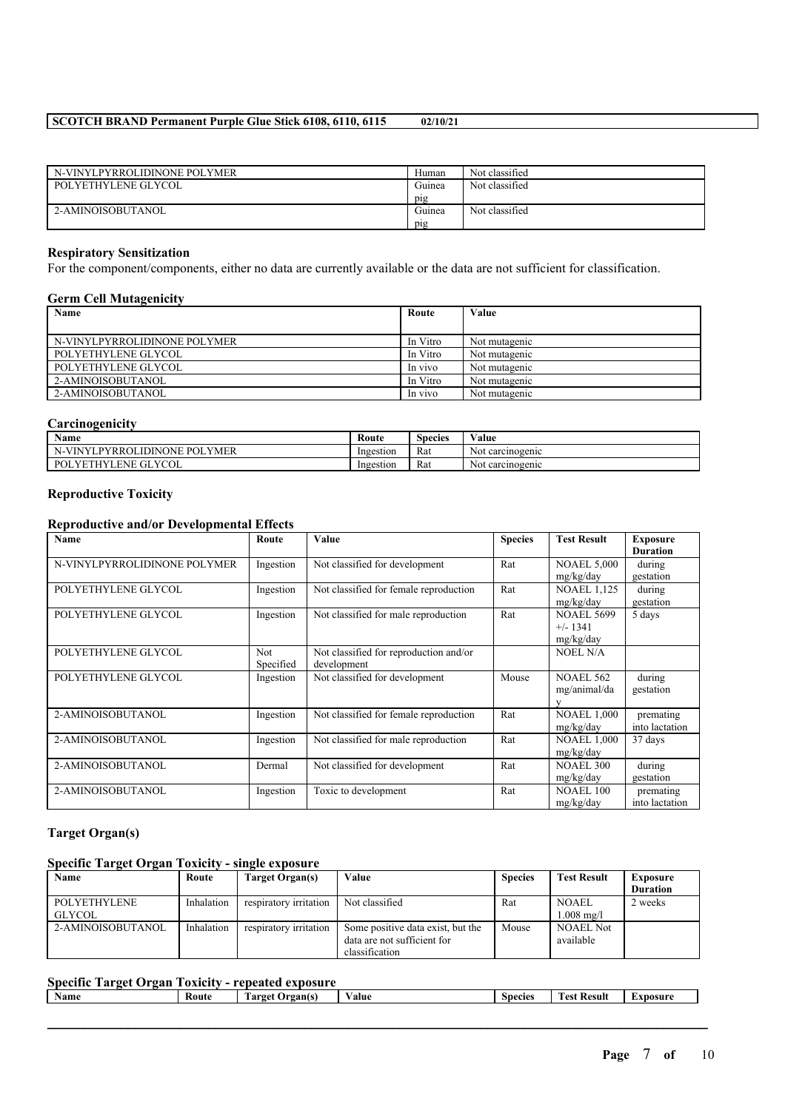| N-VINYLPYRROLIDINONE POLYMER | Human  | Not classified |
|------------------------------|--------|----------------|
| POLYETHYLENE GLYCOL          | Guinea | Not classified |
|                              | pig    |                |
| 2-AMINOISOBUTANOL            | Guinea | Not classified |
|                              | pig    |                |

# **Respiratory Sensitization**

For the component/components, either no data are currently available or the data are not sufficient for classification.

# **Germ Cell Mutagenicity**

| Name                         | Route    | Value         |
|------------------------------|----------|---------------|
|                              |          |               |
| N-VINYLPYRROLIDINONE POLYMER | In Vitro | Not mutagenic |
| POLYETHYLENE GLYCOL          | In Vitro | Not mutagenic |
| POLYETHYLENE GLYCOL          | In vivo  | Not mutagenic |
| 2-AMINOISOBUTANOL            | In Vitro | Not mutagenic |
| 2-AMINOISOBUTANOL            | In vivo  | Not mutagenic |

# **Carcinogenicity**

| $\mathbf{X}$<br>Name                                              | Route     | $\sim$<br>Species | -- -<br>⁄ alue      |
|-------------------------------------------------------------------|-----------|-------------------|---------------------|
| <b>POLYMER</b><br><b>IDINONE</b><br>⊺PYRR∩i<br><b>VINYI</b>       | Ingestion | Rat               | carcinogenic<br>Not |
| YCOL<br>GL<br><b>VET</b><br><b>ENE</b><br>$P_{OL}$<br><b>ATTE</b> | Ingestion | Rat               | carcinogenic<br>Not |

### **Reproductive Toxicity**

#### **Reproductive and/or Developmental Effects**

| <b>Name</b>                  | Route     | Value                                  | <b>Species</b> | <b>Test Result</b> | <b>Exposure</b> |
|------------------------------|-----------|----------------------------------------|----------------|--------------------|-----------------|
|                              |           |                                        |                |                    | <b>Duration</b> |
| N-VINYLPYRROLIDINONE POLYMER | Ingestion | Not classified for development         | Rat            | <b>NOAEL 5,000</b> | during          |
|                              |           |                                        |                | mg/kg/day          | gestation       |
| POLYETHYLENE GLYCOL          | Ingestion | Not classified for female reproduction | Rat            | <b>NOAEL 1,125</b> | during          |
|                              |           |                                        |                | mg/kg/day          | gestation       |
| POLYETHYLENE GLYCOL          | Ingestion | Not classified for male reproduction   | Rat            | <b>NOAEL 5699</b>  | 5 days          |
|                              |           |                                        |                | $+/- 1341$         |                 |
|                              |           |                                        |                | mg/kg/day          |                 |
| POLYETHYLENE GLYCOL          | Not.      | Not classified for reproduction and/or |                | NOEL N/A           |                 |
|                              | Specified | development                            |                |                    |                 |
| POLYETHYLENE GLYCOL          | Ingestion | Not classified for development         | Mouse          | <b>NOAEL 562</b>   | during          |
|                              |           |                                        |                | mg/animal/da       | gestation       |
|                              |           |                                        |                |                    |                 |
| 2-AMINOISOBUTANOL            | Ingestion | Not classified for female reproduction | Rat            | <b>NOAEL 1,000</b> | premating       |
|                              |           |                                        |                | mg/kg/day          | into lactation  |
| 2-AMINOISOBUTANOL            | Ingestion | Not classified for male reproduction   | Rat            | <b>NOAEL 1,000</b> | 37 days         |
|                              |           |                                        |                | mg/kg/day          |                 |
| 2-AMINOISOBUTANOL            | Dermal    | Not classified for development         | Rat            | <b>NOAEL 300</b>   | during          |
|                              |           |                                        |                | mg/kg/day          | gestation       |
| 2-AMINOISOBUTANOL            | Ingestion | Toxic to development                   | Rat            | <b>NOAEL 100</b>   | premating       |
|                              |           |                                        |                | mg/kg/day          | into lactation  |

# **Target Organ(s)**

# **Specific Target Organ Toxicity - single exposure**

| Name                | Route      | Target Organ(s)        | Value                             | <b>Species</b> | <b>Test Result</b>    | Exposure        |
|---------------------|------------|------------------------|-----------------------------------|----------------|-----------------------|-----------------|
|                     |            |                        |                                   |                |                       | <b>Duration</b> |
| <b>POLYETHYLENE</b> | Inhalation | respiratory irritation | Not classified                    | Rat            | <b>NOAEL</b>          | 2 weeks         |
| GLYCOL              |            |                        |                                   |                | $1.008 \text{ m}$ g/l |                 |
| 2-AMINOISOBUTANOL   | Inhalation | respiratory irritation | Some positive data exist, but the | Mouse          | <b>NOAEL Not</b>      |                 |
|                     |            |                        | data are not sufficient for       |                | available             |                 |
|                     |            |                        | classification                    |                |                       |                 |

# **Specific Target Organ Toxicity - repeated exposure**

| _<br><b>Name</b> | Route | <b>CONTRACTOR</b><br>Organ(s)<br>Target | $\mathbf{v}$<br>Value | <b>Species</b> | <b>CONTRACTOR</b><br><b>Fest Result</b> | Exposure |
|------------------|-------|-----------------------------------------|-----------------------|----------------|-----------------------------------------|----------|
|                  |       |                                         |                       |                |                                         |          |
|                  |       |                                         |                       |                |                                         |          |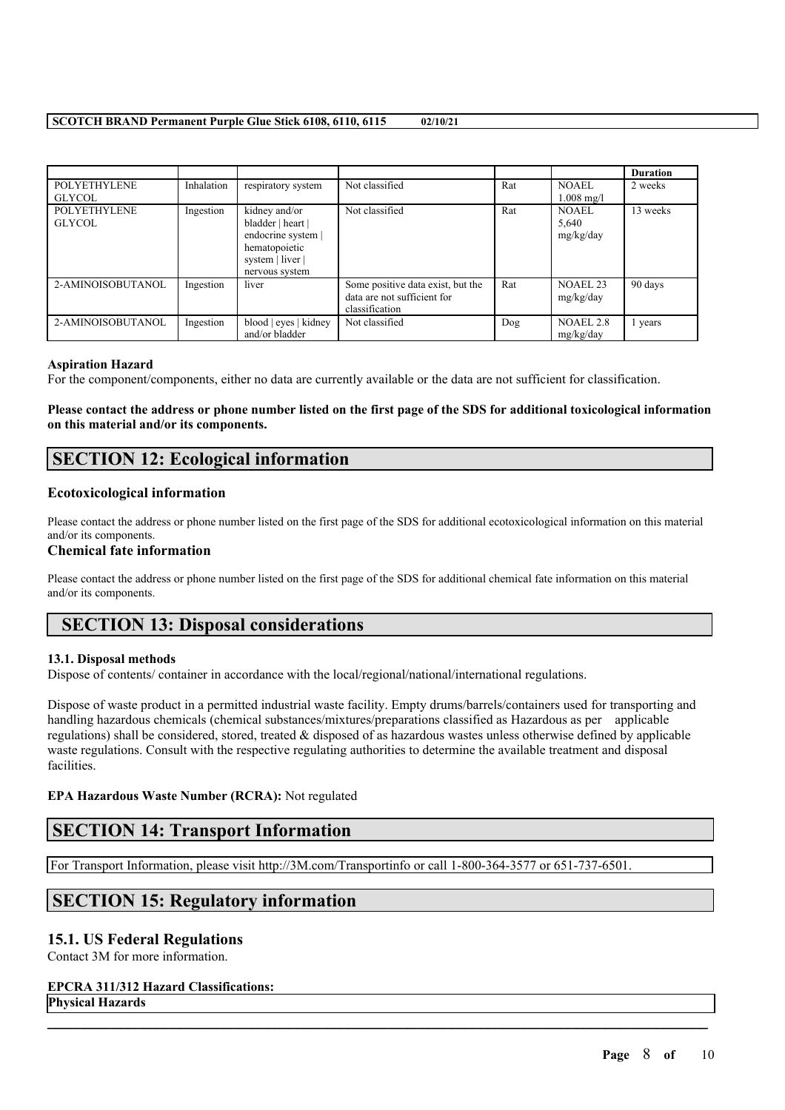|                                      |            |                                                                                                                 |                                                                                    |     |                                    | <b>Duration</b> |
|--------------------------------------|------------|-----------------------------------------------------------------------------------------------------------------|------------------------------------------------------------------------------------|-----|------------------------------------|-----------------|
| <b>POLYETHYLENE</b><br><b>GLYCOL</b> | Inhalation | respiratory system                                                                                              | Not classified                                                                     | Rat | NOAEL<br>$1.008 \text{ mg/l}$      | 2 weeks         |
| <b>POLYETHYLENE</b><br><b>GLYCOL</b> | Ingestion  | kidney and/or<br>bladder   heart  <br>endocrine system  <br>hematopoietic<br>system   liver  <br>nervous system | Not classified                                                                     | Rat | <b>NOAEL</b><br>5,640<br>mg/kg/day | 13 weeks        |
| 2-AMINOISOBUTANOL                    | Ingestion  | liver                                                                                                           | Some positive data exist, but the<br>data are not sufficient for<br>classification | Rat | NOAEL <sub>23</sub><br>mg/kg/day   | 90 days         |
| 2-AMINOISOBUTANOL                    | Ingestion  | blood   eyes   kidney<br>and/or bladder                                                                         | Not classified                                                                     | Dog | NOAEL 2.8<br>mg/kg/day             | l years         |

#### **Aspiration Hazard**

For the component/components, either no data are currently available or the data are not sufficient for classification.

# Please contact the address or phone number listed on the first page of the SDS for additional toxicological information **on this material and/or its components.**

# **SECTION 12: Ecological information**

# **Ecotoxicological information**

Please contact the address or phone number listed on the first page of the SDS for additional ecotoxicological information on this material and/or its components.

#### **Chemical fate information**

Please contact the address or phone number listed on the first page of the SDS for additional chemical fate information on this material and/or its components.

# **SECTION 13: Disposal considerations**

# **13.1. Disposal methods**

Dispose of contents/ container in accordance with the local/regional/national/international regulations.

Dispose of waste product in a permitted industrial waste facility. Empty drums/barrels/containers used for transporting and handling hazardous chemicals (chemical substances/mixtures/preparations classified as Hazardous as per applicable regulations) shall be considered, stored, treated & disposed of as hazardous wastes unless otherwise defined by applicable waste regulations. Consult with the respective regulating authorities to determine the available treatment and disposal facilities.

 $\mathcal{L}_\mathcal{L} = \mathcal{L}_\mathcal{L} = \mathcal{L}_\mathcal{L} = \mathcal{L}_\mathcal{L} = \mathcal{L}_\mathcal{L} = \mathcal{L}_\mathcal{L} = \mathcal{L}_\mathcal{L} = \mathcal{L}_\mathcal{L} = \mathcal{L}_\mathcal{L} = \mathcal{L}_\mathcal{L} = \mathcal{L}_\mathcal{L} = \mathcal{L}_\mathcal{L} = \mathcal{L}_\mathcal{L} = \mathcal{L}_\mathcal{L} = \mathcal{L}_\mathcal{L} = \mathcal{L}_\mathcal{L} = \mathcal{L}_\mathcal{L}$ 

# **EPA Hazardous Waste Number (RCRA):** Not regulated

# **SECTION 14: Transport Information**

For Transport Information, please visit http://3M.com/Transportinfo or call 1-800-364-3577 or 651-737-6501.

# **SECTION 15: Regulatory information**

# **15.1. US Federal Regulations**

Contact 3M for more information.

#### **EPCRA 311/312 Hazard Classifications:**

**Physical Hazards**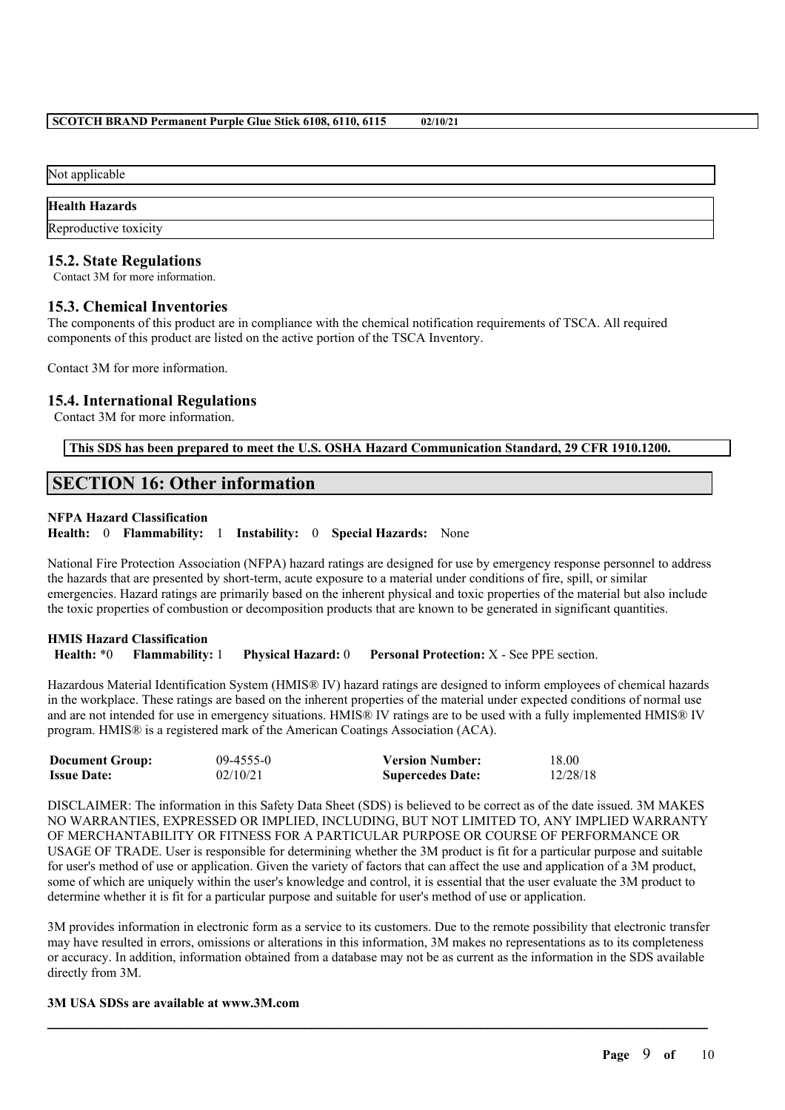Not applicable

### **Health Hazards**

Reproductive toxicity

# **15.2. State Regulations**

Contact 3M for more information.

# **15.3. Chemical Inventories**

The components of this product are in compliance with the chemical notification requirements of TSCA. All required components of this product are listed on the active portion of the TSCA Inventory.

Contact 3M for more information.

# **15.4. International Regulations**

Contact 3M for more information.

**This SDS has been prepared to meet the U.S. OSHA Hazard Communication Standard, 29 CFR 1910.1200.**

# **SECTION 16: Other information**

### **NFPA Hazard Classification**

**Health:** 0 **Flammability:** 1 **Instability:** 0 **Special Hazards:** None

National Fire Protection Association (NFPA) hazard ratings are designed for use by emergency response personnel to address the hazards that are presented by short-term, acute exposure to a material under conditions of fire, spill, or similar emergencies. Hazard ratings are primarily based on the inherent physical and toxic properties of the material but also include the toxic properties of combustion or decomposition products that are known to be generated in significant quantities.

# **HMIS Hazard Classification Health:** \*0 **Flammability:** 1 **Physical Hazard:** 0 **Personal Protection:** X - See PPE section.

Hazardous Material Identification System (HMIS® IV) hazard ratings are designed to inform employees of chemical hazards in the workplace. These ratings are based on the inherent properties of the material under expected conditions of normal use and are not intended for use in emergency situations. HMIS® IV ratings are to be used with a fully implemented HMIS® IV program. HMIS® is a registered mark of the American Coatings Association (ACA).

| <b>Document Group:</b> | $09-4555-0$ | <b>Version Number:</b>  | 18.00    |
|------------------------|-------------|-------------------------|----------|
| <b>Issue Date:</b>     | 02/10/21    | <b>Supercedes Date:</b> | 12/28/18 |

DISCLAIMER: The information in this Safety Data Sheet (SDS) is believed to be correct as of the date issued. 3M MAKES NO WARRANTIES, EXPRESSED OR IMPLIED, INCLUDING, BUT NOT LIMITED TO, ANY IMPLIED WARRANTY OF MERCHANTABILITY OR FITNESS FOR A PARTICULAR PURPOSE OR COURSE OF PERFORMANCE OR USAGE OF TRADE. User is responsible for determining whether the 3M product is fit for a particular purpose and suitable for user's method of use or application. Given the variety of factors that can affect the use and application of a 3M product, some of which are uniquely within the user's knowledge and control, it is essential that the user evaluate the 3M product to determine whether it is fit for a particular purpose and suitable for user's method of use or application.

3M provides information in electronic form as a service to its customers. Due to the remote possibility that electronic transfer may have resulted in errors, omissions or alterations in this information, 3M makes no representations as to its completeness or accuracy. In addition, information obtained from a database may not be as current as the information in the SDS available directly from 3M.

 $\mathcal{L}_\mathcal{L} = \mathcal{L}_\mathcal{L} = \mathcal{L}_\mathcal{L} = \mathcal{L}_\mathcal{L} = \mathcal{L}_\mathcal{L} = \mathcal{L}_\mathcal{L} = \mathcal{L}_\mathcal{L} = \mathcal{L}_\mathcal{L} = \mathcal{L}_\mathcal{L} = \mathcal{L}_\mathcal{L} = \mathcal{L}_\mathcal{L} = \mathcal{L}_\mathcal{L} = \mathcal{L}_\mathcal{L} = \mathcal{L}_\mathcal{L} = \mathcal{L}_\mathcal{L} = \mathcal{L}_\mathcal{L} = \mathcal{L}_\mathcal{L}$ 

### **3M USA SDSs are available at www.3M.com**